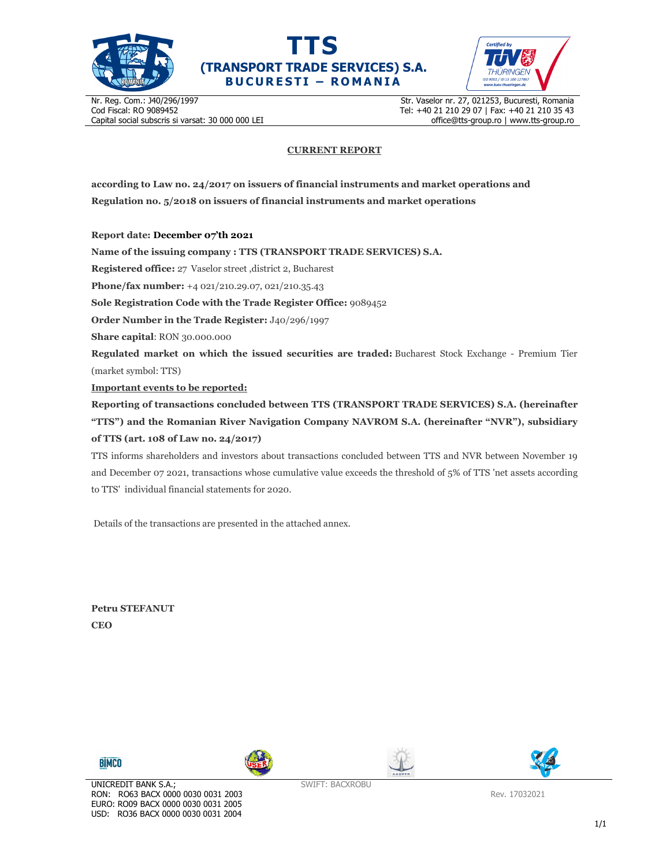





Nr. Reg. Com.: J40/296/1997 Cod Fiscal: RO 9089452 Capital social subscris si varsat: 30 000 000 LEI Str. Vaselor nr. 27, 021253, Bucuresti, Romania Tel: +40 21 210 29 07 | Fax: +40 21 210 35 43 office@tts-group.ro | www.tts-group.ro

## **CURRENT REPORT**

**according to Law no. 24/2017 on issuers of financial instruments and market operations and Regulation no. 5/2018 on issuers of financial instruments and market operations** 

**Report date: December 07'th 2021**

**Name of the issuing company : TTS (TRANSPORT TRADE SERVICES) S.A.**

**Registered office:** 27 Vaselor street ,district 2, Bucharest

**Phone/fax number:** +4 021/210.29.07, 021/210.35.43

**Sole Registration Code with the Trade Register Office:** 9089452

**Order Number in the Trade Register:** J40/296/1997

**Share capital**: RON 30.000.000

**Regulated market on which the issued securities are traded:** Bucharest Stock Exchange - Premium Tier (market symbol: TTS)

**Important events to be reported:**

**Reporting of transactions concluded between TTS (TRANSPORT TRADE SERVICES) S.A. (hereinafter "TTS") and the Romanian River Navigation Company NAVROM S.A. (hereinafter "NVR"), subsidiary of TTS (art. 108 of Law no. 24/2017)** 

TTS informs shareholders and investors about transactions concluded between TTS and NVR between November 19 and December 07 2021, transactions whose cumulative value exceeds the threshold of 5% of TTS 'net assets according to TTS' individual financial statements for 2020.

Details of the transactions are presented in the attached annex.

**Petru STEFANUT CEO** 









Rev. 17032021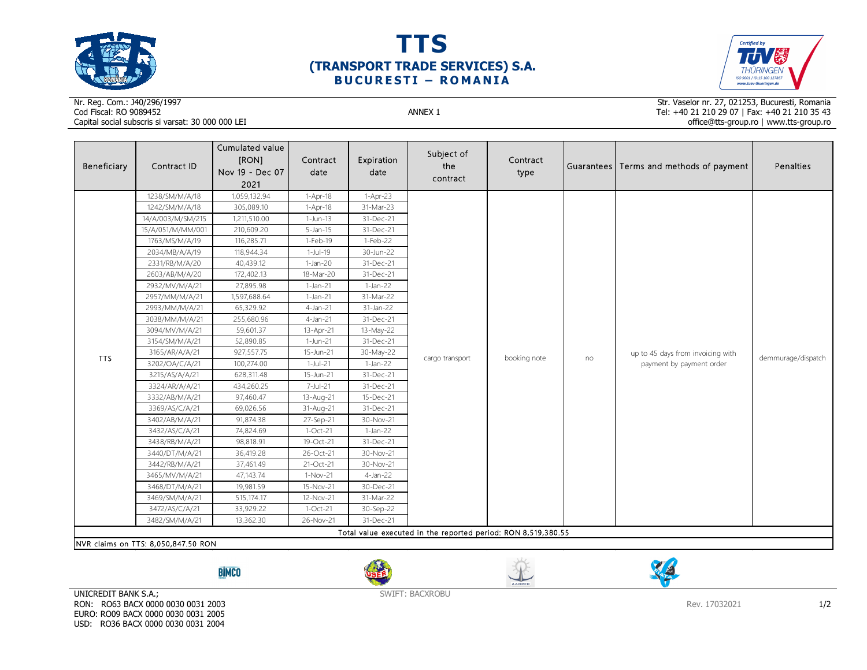





## Nr. Reg. Com.: J40/296/1997Cod Fiscal: RO 9089452 ANNEX 1 Capital social subscris si varsat: 30 000 000 LEI

Str. Vaselor nr. 27, 021253, Bucuresti, Romania Tel: +40 21 210 29 07 | Fax: +40 21 210 35 43 office@tts-group.ro | www.tts-group.ro

| Beneficiary                                                   | Contract ID       | Cumulated value<br>[RON]<br>Nov 19 - Dec 07<br>2021 | Contract<br>date | Expiration<br>date | Subject of<br>the<br>contract | Contract<br>type |    | Guarantees Terms and methods of payment                       | Penalties          |  |
|---------------------------------------------------------------|-------------------|-----------------------------------------------------|------------------|--------------------|-------------------------------|------------------|----|---------------------------------------------------------------|--------------------|--|
| TTS                                                           | 1238/SM/M/A/18    | 1,059,132.94                                        | 1-Apr-18         | $1-Apr-23$         |                               |                  | no | up to 45 days from invoicing with<br>payment by payment order | demmurage/dispatch |  |
|                                                               | 1242/SM/M/A/18    | 305,089.10                                          | 1-Apr-18         | 31-Mar-23          |                               |                  |    |                                                               |                    |  |
|                                                               | 14/A/003/M/SM/215 | 1,211,510.00                                        | $1-Jun-13$       | 31-Dec-21          |                               |                  |    |                                                               |                    |  |
|                                                               | 15/A/051/M/MM/001 | 210,609.20                                          | $5$ -Jan-15      | 31-Dec-21          |                               |                  |    |                                                               |                    |  |
|                                                               | 1763/MS/M/A/19    | 116,285.71                                          | 1-Feb-19         | 1-Feb-22           |                               |                  |    |                                                               |                    |  |
|                                                               | 2034/MB/A/A/19    | 118,944.34                                          | 1-Jul-19         | 30-Jun-22          |                               |                  |    |                                                               |                    |  |
|                                                               | 2331/RB/M/A/20    | 40,439.12                                           | $1-Jan-20$       | 31-Dec-21          |                               |                  |    |                                                               |                    |  |
|                                                               | 2603/AB/M/A/20    | 172,402.13                                          | 18-Mar-20        | 31-Dec-21          |                               |                  |    |                                                               |                    |  |
|                                                               | 2932/MV/M/A/21    | 27,895.98                                           | $1-Jan-21$       | $1-Jan-22$         |                               |                  |    |                                                               |                    |  |
|                                                               | 2957/MM/M/A/21    | 1,597,688.64                                        | $1-Jan-21$       | 31-Mar-22          |                               |                  |    |                                                               |                    |  |
|                                                               | 2993/MM/M/A/21    | 65,329.92                                           | $4$ -Jan-21      | 31-Jan-22          |                               |                  |    |                                                               |                    |  |
|                                                               | 3038/MM/M/A/21    | 255,680.96                                          | $4$ -Jan-21      | 31-Dec-21          |                               |                  |    |                                                               |                    |  |
|                                                               | 3094/MV/M/A/21    | 59,601.37                                           | 13-Apr-21        | 13-May-22          | cargo transport               | booking note     |    |                                                               |                    |  |
|                                                               | 3154/SM/M/A/21    | 52,890.85                                           | 1-Jun-21         | 31-Dec-21          |                               |                  |    |                                                               |                    |  |
|                                                               | 3165/AR/A/A/21    | 927,557.75                                          | 15-Jun-21        | 30-May-22          |                               |                  |    |                                                               |                    |  |
|                                                               | 3202/OA/C/A/21    | 100,274.00                                          | $1-Jul-21$       | $1-Jan-22$         |                               |                  |    |                                                               |                    |  |
|                                                               | 3215/AS/A/A/21    | 628,311.48                                          | 15-Jun-21        | 31-Dec-21          |                               |                  |    |                                                               |                    |  |
|                                                               | 3324/AR/A/A/21    | 434,260.25                                          | 7-Jul-21         | 31-Dec-21          |                               |                  |    |                                                               |                    |  |
|                                                               | 3332/AB/M/A/21    | 97,460.47                                           | 13-Aug-21        | 15-Dec-21          |                               |                  |    |                                                               |                    |  |
|                                                               | 3369/AS/C/A/21    | 69,026.56                                           | 31-Aug-21        | 31-Dec-21          |                               |                  |    |                                                               |                    |  |
|                                                               | 3402/AB/M/A/21    | 91,874.38                                           | 27-Sep-21        | 30-Nov-21          |                               |                  |    |                                                               |                    |  |
|                                                               | 3432/AS/C/A/21    | 74,824.69                                           | $1-Oct-21$       | $1-Jan-22$         |                               |                  |    |                                                               |                    |  |
|                                                               | 3438/RB/M/A/21    | 98,818.91                                           | 19-Oct-21        | 31-Dec-21          |                               |                  |    |                                                               |                    |  |
|                                                               | 3440/DT/M/A/21    | 36,419.28                                           | 26-Oct-21        | 30-Nov-21          |                               |                  |    |                                                               |                    |  |
|                                                               | 3442/RB/M/A/21    | 37,461.49                                           | 21-Oct-21        | 30-Nov-21          |                               |                  |    |                                                               |                    |  |
|                                                               | 3465/MV/M/A/21    | 47,143.74                                           | $1-Nov-21$       | $4$ -Jan-22        |                               |                  |    |                                                               |                    |  |
|                                                               | 3468/DT/M/A/21    | 19,981.59                                           | 15-Nov-21        | 30-Dec-21          |                               |                  |    |                                                               |                    |  |
|                                                               | 3469/SM/M/A/21    | 515,174.17                                          | 12-Nov-21        | 31-Mar-22          |                               |                  |    |                                                               |                    |  |
|                                                               | 3472/AS/C/A/21    | 33,929.22                                           | $1-Oct-21$       | 30-Sep-22          |                               |                  |    |                                                               |                    |  |
|                                                               | 3482/SM/M/A/21    | 13,362.30                                           | 26-Nov-21        | 31-Dec-21          |                               |                  |    |                                                               |                    |  |
| Total value executed in the reported period: RON 8,519,380.55 |                   |                                                     |                  |                    |                               |                  |    |                                                               |                    |  |
| NVR claims on TTS: 8,050,847.50 RON                           |                   |                                                     |                  |                    |                               |                  |    |                                                               |                    |  |

**BİMCO** 







UNICREDIT BANK S.A.; RON: RO63 BACX 0000 0030 0031 2003 EURO: RO09 BACX 0000 0030 0031 2005 USD: RO36 BACX 0000 0030 0031 2004

SWIFT: BACXROBU